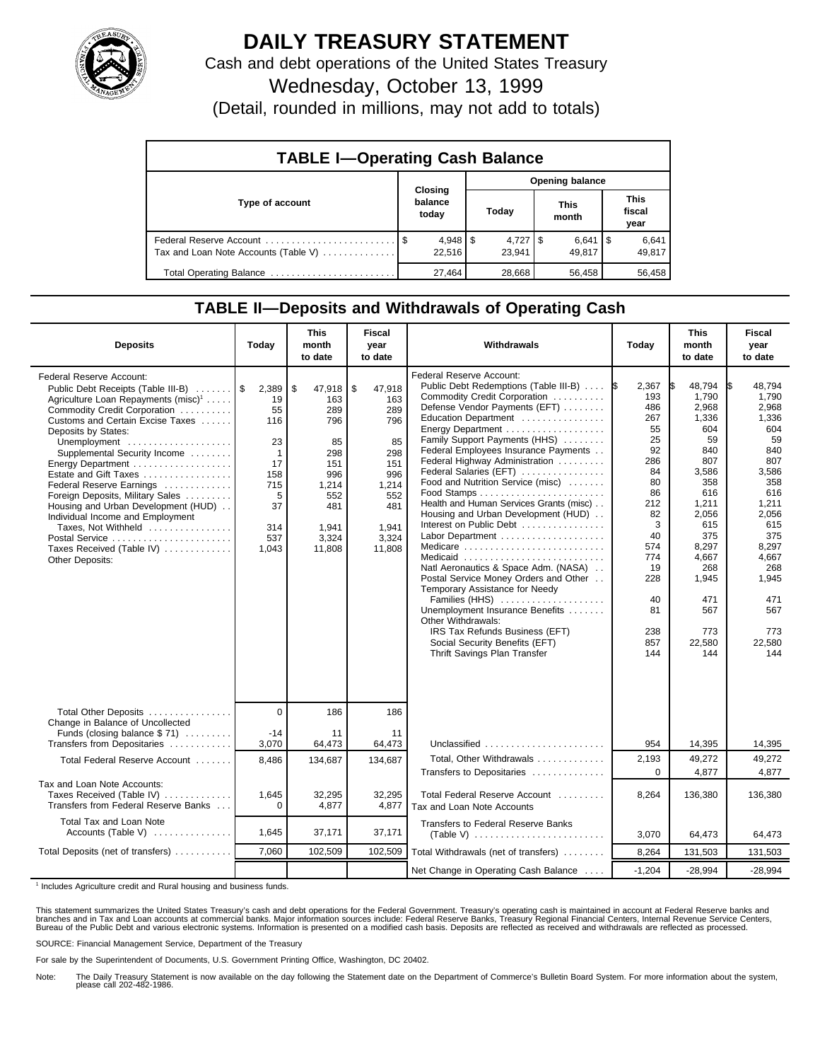

## **DAILY TREASURY STATEMENT**

Cash and debt operations of the United States Treasury

Wednesday, October 13, 1999

(Detail, rounded in millions, may not add to totals)

| <b>TABLE I-Operating Cash Balance</b> |  |                             |                        |        |  |                      |  |                               |  |
|---------------------------------------|--|-----------------------------|------------------------|--------|--|----------------------|--|-------------------------------|--|
|                                       |  |                             | <b>Opening balance</b> |        |  |                      |  |                               |  |
| Type of account                       |  | Closing<br>balance<br>today |                        | Today  |  | <b>This</b><br>month |  | <b>This</b><br>fiscal<br>year |  |
| Tax and Loan Note Accounts (Table V)  |  | $4,948$   \$<br>22.516      |                        | 23.941 |  | $6,641$ S<br>49.817  |  | 6,641<br>49,817               |  |
| Total Operating Balance               |  | 27,464                      |                        | 28,668 |  | 56,458               |  | 56,458                        |  |

## **TABLE II—Deposits and Withdrawals of Operating Cash**

| <b>Deposits</b>                                                                                                                                                                                                                                                                                                                                                                                                                                                                                                              | Today                                                                                               | <b>This</b><br>month<br>to date                                                                                 | <b>Fiscal</b><br>year<br>to date                                                                                | Withdrawals                                                                                                                                                                                                                                                                                                                                                                                                                                                                                                                                                                                                                                                                                                                                                                                                             | Today                                                                                                                                                     | <b>This</b><br>month<br>to date                                                                                                                                                             | <b>Fiscal</b><br>year<br>to date                                                                                                                                                                   |
|------------------------------------------------------------------------------------------------------------------------------------------------------------------------------------------------------------------------------------------------------------------------------------------------------------------------------------------------------------------------------------------------------------------------------------------------------------------------------------------------------------------------------|-----------------------------------------------------------------------------------------------------|-----------------------------------------------------------------------------------------------------------------|-----------------------------------------------------------------------------------------------------------------|-------------------------------------------------------------------------------------------------------------------------------------------------------------------------------------------------------------------------------------------------------------------------------------------------------------------------------------------------------------------------------------------------------------------------------------------------------------------------------------------------------------------------------------------------------------------------------------------------------------------------------------------------------------------------------------------------------------------------------------------------------------------------------------------------------------------------|-----------------------------------------------------------------------------------------------------------------------------------------------------------|---------------------------------------------------------------------------------------------------------------------------------------------------------------------------------------------|----------------------------------------------------------------------------------------------------------------------------------------------------------------------------------------------------|
| Federal Reserve Account:<br>Public Debt Receipts (Table III-B)<br>Agriculture Loan Repayments (misc) <sup>1</sup><br>Commodity Credit Corporation<br>Customs and Certain Excise Taxes<br>Deposits by States:<br>Unemployment<br>Supplemental Security Income<br>Energy Department<br>Estate and Gift Taxes<br>Federal Reserve Earnings<br>Foreign Deposits, Military Sales<br>Housing and Urban Development (HUD)<br>Individual Income and Employment<br>Taxes, Not Withheld<br>Taxes Received (Table IV)<br>Other Deposits: | 2,389<br>19<br>55<br>116<br>23<br>$\mathbf 1$<br>17<br>158<br>715<br>5<br>37<br>314<br>537<br>1,043 | \$<br>47,918<br>163<br>289<br>796<br>85<br>298<br>151<br>996<br>1,214<br>552<br>481<br>1,941<br>3,324<br>11,808 | \$<br>47,918<br>163<br>289<br>796<br>85<br>298<br>151<br>996<br>1,214<br>552<br>481<br>1.941<br>3,324<br>11,808 | Federal Reserve Account:<br>Public Debt Redemptions (Table III-B)  S<br>Commodity Credit Corporation<br>Defense Vendor Payments (EFT)<br>Education Department<br>Energy Department<br>Family Support Payments (HHS)<br>Federal Employees Insurance Payments<br>Federal Highway Administration<br>Federal Salaries (EFT)<br>Food and Nutrition Service (misc)<br>Health and Human Services Grants (misc)<br>Housing and Urban Development (HUD)<br>Interest on Public Debt<br>Labor Department<br>Medicare<br>Medicaid<br>Natl Aeronautics & Space Adm. (NASA)<br>Postal Service Money Orders and Other<br>Temporary Assistance for Needy<br>Families (HHS)<br>Unemployment Insurance Benefits<br>Other Withdrawals:<br>IRS Tax Refunds Business (EFT)<br>Social Security Benefits (EFT)<br>Thrift Savings Plan Transfer | 2,367<br>193<br>486<br>267<br>55<br>25<br>92<br>286<br>84<br>80<br>86<br>212<br>82<br>3<br>40<br>574<br>774<br>19<br>228<br>40<br>81<br>238<br>857<br>144 | 48,794<br>1,790<br>2,968<br>1,336<br>604<br>59<br>840<br>807<br>3,586<br>358<br>616<br>1,211<br>2,056<br>615<br>375<br>8.297<br>4,667<br>268<br>1,945<br>471<br>567<br>773<br>22.580<br>144 | 48,794<br>I\$<br>1.790<br>2,968<br>1,336<br>604<br>59<br>840<br>807<br>3,586<br>358<br>616<br>1,211<br>2,056<br>615<br>375<br>8.297<br>4,667<br>268<br>1,945<br>471<br>567<br>773<br>22.580<br>144 |
| Total Other Deposits<br>Change in Balance of Uncollected                                                                                                                                                                                                                                                                                                                                                                                                                                                                     | $\overline{0}$                                                                                      | 186                                                                                                             | 186                                                                                                             |                                                                                                                                                                                                                                                                                                                                                                                                                                                                                                                                                                                                                                                                                                                                                                                                                         |                                                                                                                                                           |                                                                                                                                                                                             |                                                                                                                                                                                                    |
| Funds (closing balance \$71)<br>Transfers from Depositaries                                                                                                                                                                                                                                                                                                                                                                                                                                                                  | $-14$<br>3,070                                                                                      | 11<br>64,473                                                                                                    | 11<br>64,473                                                                                                    | Unclassified                                                                                                                                                                                                                                                                                                                                                                                                                                                                                                                                                                                                                                                                                                                                                                                                            | 954                                                                                                                                                       | 14,395                                                                                                                                                                                      | 14,395                                                                                                                                                                                             |
| Total Federal Reserve Account                                                                                                                                                                                                                                                                                                                                                                                                                                                                                                | 8,486                                                                                               | 134,687                                                                                                         | 134,687                                                                                                         | Total, Other Withdrawals<br>Transfers to Depositaries                                                                                                                                                                                                                                                                                                                                                                                                                                                                                                                                                                                                                                                                                                                                                                   | 2,193<br>$\Omega$                                                                                                                                         | 49,272<br>4,877                                                                                                                                                                             | 49,272<br>4,877                                                                                                                                                                                    |
| Tax and Loan Note Accounts:<br>Taxes Received (Table IV)<br>Transfers from Federal Reserve Banks                                                                                                                                                                                                                                                                                                                                                                                                                             | 1,645<br>$\Omega$                                                                                   | 32,295<br>4,877                                                                                                 | 32,295<br>4,877                                                                                                 | Total Federal Reserve Account<br>Tax and Loan Note Accounts                                                                                                                                                                                                                                                                                                                                                                                                                                                                                                                                                                                                                                                                                                                                                             | 8,264                                                                                                                                                     | 136,380                                                                                                                                                                                     | 136,380                                                                                                                                                                                            |
| Total Tax and Loan Note<br>Accounts (Table V)                                                                                                                                                                                                                                                                                                                                                                                                                                                                                | 1,645                                                                                               | 37,171                                                                                                          | 37,171                                                                                                          | <b>Transfers to Federal Reserve Banks</b>                                                                                                                                                                                                                                                                                                                                                                                                                                                                                                                                                                                                                                                                                                                                                                               | 3,070                                                                                                                                                     | 64,473                                                                                                                                                                                      | 64,473                                                                                                                                                                                             |
| Total Deposits (net of transfers)                                                                                                                                                                                                                                                                                                                                                                                                                                                                                            | 7.060                                                                                               | 102,509                                                                                                         | 102,509                                                                                                         | Total Withdrawals (net of transfers)                                                                                                                                                                                                                                                                                                                                                                                                                                                                                                                                                                                                                                                                                                                                                                                    | 8,264                                                                                                                                                     | 131,503                                                                                                                                                                                     | 131,503                                                                                                                                                                                            |
|                                                                                                                                                                                                                                                                                                                                                                                                                                                                                                                              |                                                                                                     |                                                                                                                 |                                                                                                                 | Net Change in Operating Cash Balance                                                                                                                                                                                                                                                                                                                                                                                                                                                                                                                                                                                                                                                                                                                                                                                    | $-1,204$                                                                                                                                                  | $-28,994$                                                                                                                                                                                   | $-28,994$                                                                                                                                                                                          |

<sup>1</sup> Includes Agriculture credit and Rural housing and business funds.

This statement summarizes the United States Treasury's cash and debt operations for the Federal Government. Treasury's operating cash is maintained in account at Federal Reserve banks and<br>branches and in Tax and Loan accou

SOURCE: Financial Management Service, Department of the Treasury

For sale by the Superintendent of Documents, U.S. Government Printing Office, Washington, DC 20402.

Note: The Daily Treasury Statement is now available on the day following the Statement date on the Department of Commerce's Bulletin Board System. For more information about the system, please call 202-482-1986.